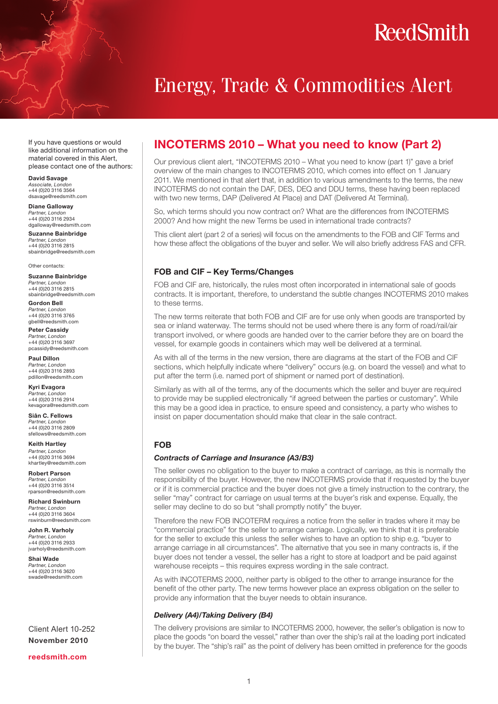## **ReedSmith**

### Energy, Trade & Commodities Alert

If you have questions or would like additional information on the material covered in this Alert, please contact one of the authors:

David Savage *Associate, London* +44 (0)20 3116 3564 dsavage@reedsmith.com

Diane Galloway *Partner, London* +44 (0)20 3116 2934 dgalloway@reedsmith.com

Suzanne Bainbridge *Partner, London* +44 (0)20 3116 2815 sbainbridge@reedsmith.com

Other contacts:

Suzanne Bainbridge *Partner, London* +44 (0)20 3116 2815 sbainbridge@reedsmith.com

Gordon Bell *Partner, London* +44 (0)20 3116 3765 gbell@reedsmith.com

Peter Cassidy *Partner, London* +44 (0)20 3116 3697 pcassidy@reedsmith.com

Paul Dillon *Partner, London* +44 (0)20 3116 2893 pdillon@reedsmith.com

Kyri Evagora *Partner, London* +44 (0)20 3116 2914 kevagora@reedsmith.com

Siân C. Fellows *Partner, London* +44 (0)20 3116 2809 sfellows@reedsmith.com

Keith Hartley *Partner, London* +44 (0)20 3116 3694 khartley@reedsmith.com

Robert Parson *Partner, London* +44 (0)20 3116 3514 rparson@reedsmith.com

Richard Swinburn *Partner, London* +44 (0)20 3116 3604 rswinburn@reedsmith.com

John R. Varholy *Partner, London* +44 (0)20 3116 2933 jvarholy@reedsmith.com

Shai Wade *Partner, London* +44 (0)20 3116 3620 swade@reedsmith.com

Client Alert 10-252 November 2010

reedsmith.com

### INCOTERMS 2010 – What you need to know (Part 2)

Our previous client alert, "INCOTERMS 2010 – What you need to know (part 1)" gave a brief overview of the main changes to INCOTERMS 2010, which comes into effect on 1 January 2011. We mentioned in that alert that, in addition to various amendments to the terms, the new INCOTERMS do not contain the DAF, DES, DEQ and DDU terms, these having been replaced with two new terms, DAP (Delivered At Place) and DAT (Delivered At Terminal).

So, which terms should you now contract on? What are the differences from INCOTERMS 2000? And how might the new Terms be used in international trade contracts?

This client alert (part 2 of a series) will focus on the amendments to the FOB and CIF Terms and how these affect the obligations of the buyer and seller. We will also briefly address FAS and CFR.

#### FOB and CIF – Key Terms/Changes

FOB and CIF are, historically, the rules most often incorporated in international sale of goods contracts. It is important, therefore, to understand the subtle changes INCOTERMS 2010 makes to these terms.

The new terms reiterate that both FOB and CIF are for use only when goods are transported by sea or inland waterway. The terms should not be used where there is any form of road/rail/air transport involved, or where goods are handed over to the carrier before they are on board the vessel, for example goods in containers which may well be delivered at a terminal.

As with all of the terms in the new version, there are diagrams at the start of the FOB and CIF sections, which helpfully indicate where "delivery" occurs (e.g. on board the vessel) and what to put after the term (i.e. named port of shipment or named port of destination).

Similarly as with all of the terms, any of the documents which the seller and buyer are required to provide may be supplied electronically "if agreed between the parties or customary". While this may be a good idea in practice, to ensure speed and consistency, a party who wishes to insist on paper documentation should make that clear in the sale contract.

#### FOB

#### *Contracts of Carriage and Insurance (A3/B3)*

The seller owes no obligation to the buyer to make a contract of carriage, as this is normally the responsibility of the buyer. However, the new INCOTERMS provide that if requested by the buyer or if it is commercial practice and the buyer does not give a timely instruction to the contrary, the seller "may" contract for carriage on usual terms at the buyer's risk and expense. Equally, the seller may decline to do so but "shall promptly notify" the buyer.

Therefore the new FOB INCOTERM requires a notice from the seller in trades where it may be "commercial practice" for the seller to arrange carriage. Logically, we think that it is preferable for the seller to exclude this unless the seller wishes to have an option to ship e.g. "buyer to arrange carriage in all circumstances". The alternative that you see in many contracts is, if the buyer does not tender a vessel, the seller has a right to store at loadport and be paid against warehouse receipts – this requires express wording in the sale contract.

As with INCOTERMS 2000, neither party is obliged to the other to arrange insurance for the benefit of the other party. The new terms however place an express obligation on the seller to provide any information that the buyer needs to obtain insurance.

#### *Delivery (A4)/Taking Delivery (B4)*

The delivery provisions are similar to INCOTERMS 2000, however, the seller's obligation is now to place the goods "on board the vessel," rather than over the ship's rail at the loading port indicated by the buyer. The "ship's rail" as the point of delivery has been omitted in preference for the goods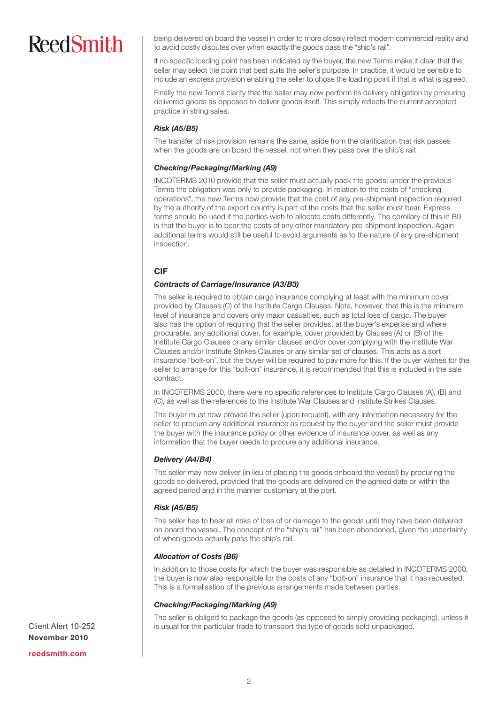# **ReedSmith**

being delivered on board the vessel in order to more closely reflect modern commercial reality and to avoid costly disputes over when exactly the goods pass the "ship's rail".

If no specific loading point has been indicated by the buyer, the new Terms make it clear that the seller may select the point that best suits the seller's purpose. In practice, it would be sensible to include an express provision enabling the seller to chose the loading point if that is what is agreed.

Finally the new Terms clarify that the seller may now perform its delivery obligation by procuring delivered goods as opposed to deliver goods itself. This simply reflects the current accepted practice in string sales.

#### *Risk (A5/B5)*

The transfer of risk provision remains the same, aside from the clarification that risk passes when the goods are on board the vessel, not when they pass over the ship's rail.

#### *Checking/Packaging/Marking (A9)*

INCOTERMS 2010 provide that the seller must actually pack the goods; under the previous Terms the obligation was only to provide packaging. In relation to the costs of "checking operations", the new Terms now provide that the cost of any pre-shipment inspection required by the authority of the export country is part of the costs that the seller must bear. Express terms should be used if the parties wish to allocate costs differently. The corollary of this in B9 is that the buyer is to bear the costs of any other mandatory pre-shipment inspection. Again additional terms would still be useful to avoid arguments as to the nature of any pre-shipment inspection.

#### CIF

#### *Contracts of Carriage/Insurance (A3/B3)*

The seller is required to obtain cargo insurance complying at least with the minimum cover provided by Clauses (C) of the Institute Cargo Clauses. Note, however, that this is the minimum level of insurance and covers only major casualties, such as total loss of cargo. The buyer also has the option of requiring that the seller provides, at the buyer's expense and where procurable, any additional cover, for example, cover provided by Clauses (A) or (B) of the Institute Cargo Clauses or any similar clauses and/or cover complying with the Institute War Clauses and/or Institute Strikes Clauses or any similar set of clauses. This acts as a sort insurance "bolt-on", but the buyer will be required to pay more for this. If the buyer wishes for the seller to arrange for this "bolt-on" insurance, it is recommended that this is included in the sale contract.

In INCOTERMS 2000, there were no specific references to Institute Cargo Clauses (A), (B) and (C), as well as the references to the Institute War Clauses and Institute Strikes Clauses.

The buyer must now provide the seller (upon request), with any information necessary for the seller to procure any additional insurance as request by the buyer and the seller must provide the buyer with the insurance policy or other evidence of insurance cover, as well as any information that the buyer needs to procure any additional insurance.

#### *Delivery (A4/B4)*

The seller may now deliver (in lieu of placing the goods onboard the vessel) by procuring the goods so delivered, provided that the goods are delivered on the agreed date or within the agreed period and in the manner customary at the port.

#### *Risk (A5/B5)*

The seller has to bear all risks of loss of or damage to the goods until they have been delivered on board the vessel. The concept of the "ship's rail" has been abandoned, given the uncertainty of when goods actually pass the ship's rail.

#### *Allocation of Costs (B6)*

In addition to those costs for which the buyer was responsible as detailed in INCOTERMS 2000, the buyer is now also responsible for the costs of any "bolt-on" insurance that it has requested. This is a formalisation of the previous arrangements made between parties.

#### *Checking/Packaging/Marking (A9)*

The seller is obliged to package the goods (as opposed to simply providing packaging), unless it is usual for the particular trade to transport the type of goods sold unpackaged.

Client Alert 10-252 November 2010 reedsmith.com